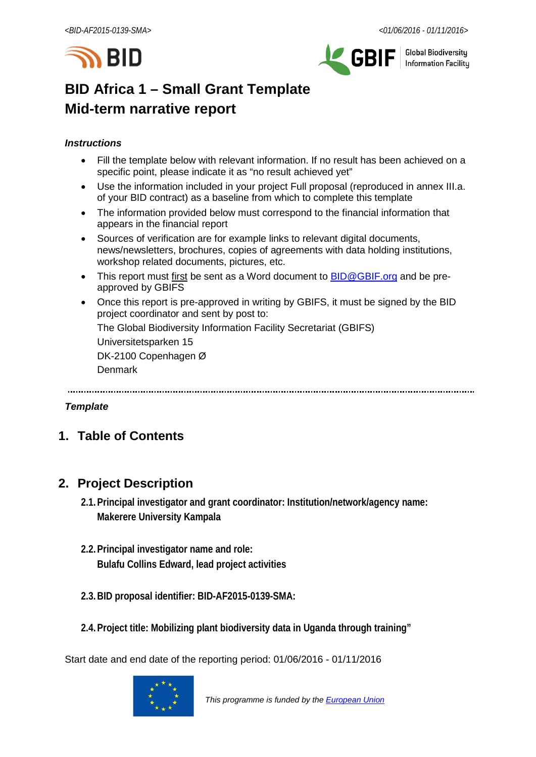



**Global Biodiversity Information Facilitu** 

# **BID Africa 1 – Small Grant Template Mid-term narrative report**

### *Instructions*

- Fill the template below with relevant information. If no result has been achieved on a specific point, please indicate it as "no result achieved yet"
- Use the information included in your project Full proposal (reproduced in annex III.a. of your BID contract) as a baseline from which to complete this template
- The information provided below must correspond to the financial information that appears in the financial report
- Sources of verification are for example links to relevant digital documents, news/newsletters, brochures, copies of agreements with data holding institutions, workshop related documents, pictures, etc.
- This report must first be sent as a Word document to **BID@GBIF.org** and be preapproved by GBIFS
- Once this report is pre-approved in writing by GBIFS, it must be signed by the BID project coordinator and sent by post to:

The Global Biodiversity Information Facility Secretariat (GBIFS)

Universitetsparken 15

DK-2100 Copenhagen Ø

Denmark

### *Template*

# **1. Table of Contents**

# **2. Project Description**

- **2.1.Principal investigator and grant coordinator: Institution/network/agency name: Makerere University Kampala**
- **2.2.Principal investigator name and role: Bulafu Collins Edward, lead project activities**
- **2.3.BID proposal identifier: BID-AF2015-0139-SMA:**
- **2.4.Project title: Mobilizing plant biodiversity data in Uganda through training"**

Start date and end date of the reporting period: 01/06/2016 - 01/11/2016

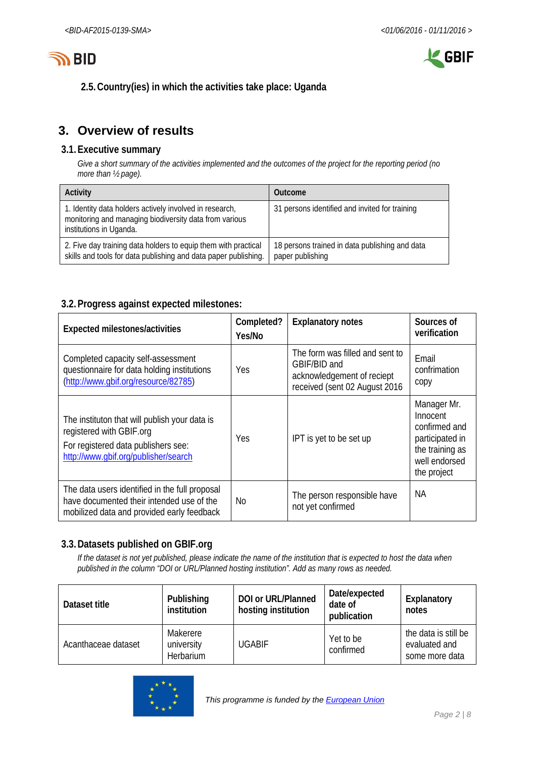



**2.5.Country(ies) in which the activities take place: Uganda**

# **3. Overview of results**

### **3.1.Executive summary**

*Give a short summary of the activities implemented and the outcomes of the project for the reporting period (no more than ½ page).*

| Activity                                                                                                                                     | Outcome                                                            |
|----------------------------------------------------------------------------------------------------------------------------------------------|--------------------------------------------------------------------|
| 1. Identity data holders actively involved in research,<br>monitoring and managing biodiversity data from various<br>institutions in Uganda. | 31 persons identified and invited for training                     |
| 2. Five day training data holders to equip them with practical<br>skills and tools for data publishing and data paper publishing.            | 18 persons trained in data publishing and data<br>paper publishing |

### **3.2.Progress against expected milestones:**

| Expected milestones/activities                                                                                                                           | Completed?<br>Yes/No | <b>Explanatory notes</b>                                                                                       | Sources of<br>verification                                                                                     |
|----------------------------------------------------------------------------------------------------------------------------------------------------------|----------------------|----------------------------------------------------------------------------------------------------------------|----------------------------------------------------------------------------------------------------------------|
| Completed capacity self-assessment<br>questionnaire for data holding institutions<br>(http://www.gbif.org/resource/82785)                                | Yes                  | The form was filled and sent to<br>GBIF/BID and<br>acknowledgement of reciept<br>received (sent 02 August 2016 | Email<br>confrimation<br>copy                                                                                  |
| The instituton that will publish your data is<br>registered with GBIF.org<br>For registered data publishers see:<br>http://www.qbif.org/publisher/search | Yes                  | IPT is yet to be set up                                                                                        | Manager Mr.<br>Innocent<br>confirmed and<br>participated in<br>the training as<br>well endorsed<br>the project |
| The data users identified in the full proposal<br>have documented their intended use of the<br>mobilized data and provided early feedback                | No                   | The person responsible have<br>not yet confirmed                                                               | <b>NA</b>                                                                                                      |

### **3.3.Datasets published on GBIF.org**

*If the dataset is not yet published, please indicate the name of the institution that is expected to host the data when published in the column "DOI or URL/Planned hosting institution". Add as many rows as needed.*

| Dataset title       | Publishing<br><i>institution</i>           | <b>DOI or URL/Planned</b><br>hosting institution | Date/expected<br>date of<br>publication | Explanatory<br>notes                                    |
|---------------------|--------------------------------------------|--------------------------------------------------|-----------------------------------------|---------------------------------------------------------|
| Acanthaceae dataset | Makerere<br>university<br><b>Herbarium</b> | <b>UGABIF</b>                                    | Yet to be<br>confirmed                  | the data is still be<br>evaluated and<br>some more data |

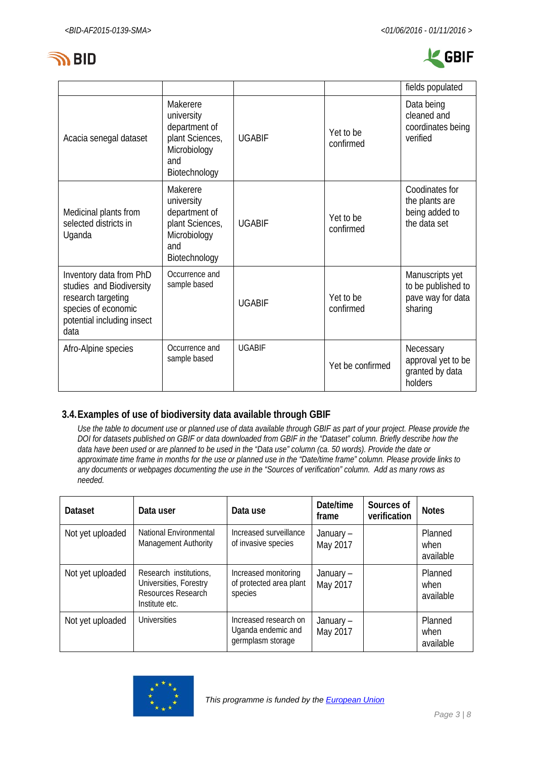



|                                                                                                                                        |                                                                                                    |               |                        | fields populated                                                      |
|----------------------------------------------------------------------------------------------------------------------------------------|----------------------------------------------------------------------------------------------------|---------------|------------------------|-----------------------------------------------------------------------|
| Acacia senegal dataset                                                                                                                 | Makerere<br>university<br>department of<br>plant Sciences,<br>Microbiology<br>and<br>Biotechnology | <b>UGABIF</b> | Yet to be<br>confirmed | Data being<br>cleaned and<br>coordinates being<br>verified            |
| Medicinal plants from<br>selected districts in<br>Uganda                                                                               | Makerere<br>university<br>department of<br>plant Sciences,<br>Microbiology<br>and<br>Biotechnology | <b>UGABIF</b> | Yet to be<br>confirmed | Coodinates for<br>the plants are<br>being added to<br>the data set    |
| Inventory data from PhD<br>studies and Biodiversity<br>research targeting<br>species of economic<br>potential including insect<br>data | Occurrence and<br>sample based                                                                     | <b>UGABIF</b> | Yet to be<br>confirmed | Manuscripts yet<br>to be published to<br>pave way for data<br>sharing |
| Afro-Alpine species                                                                                                                    | Occurrence and<br>sample based                                                                     | <b>UGABIF</b> | Yet be confirmed       | Necessary<br>approval yet to be<br>granted by data<br>holders         |

### **3.4.Examples of use of biodiversity data available through GBIF**

*Use the table to document use or planned use of data available through GBIF as part of your project. Please provide the DOI for datasets published on GBIF or data downloaded from GBIF in the "Dataset" column. Briefly describe how the data have been used or are planned to be used in the "Data use" column (ca. 50 words). Provide the date or approximate time frame in months for the use or planned use in the "Date/time frame" column. Please provide links to any documents or webpages documenting the use in the "Sources of verification" column. Add as many rows as needed.*

| <b>Dataset</b>   | Data user                                                                                | Data use                                                         | Date/time<br>frame    | Sources of<br>verification | <b>Notes</b>                 |
|------------------|------------------------------------------------------------------------------------------|------------------------------------------------------------------|-----------------------|----------------------------|------------------------------|
| Not yet uploaded | National Environmental<br><b>Management Authority</b>                                    | Increased surveillance<br>of invasive species                    | January-<br>May 2017  |                            | Planned<br>when<br>available |
| Not yet uploaded | Research institutions,<br>Universities, Forestry<br>Resources Research<br>Institute etc. | Increased monitoring<br>of protected area plant<br>species       | January –<br>May 2017 |                            | Planned<br>when<br>available |
| Not yet uploaded | <b>Universities</b>                                                                      | Increased research on<br>Uganda endemic and<br>germplasm storage | January –<br>May 2017 |                            | Planned<br>when<br>available |

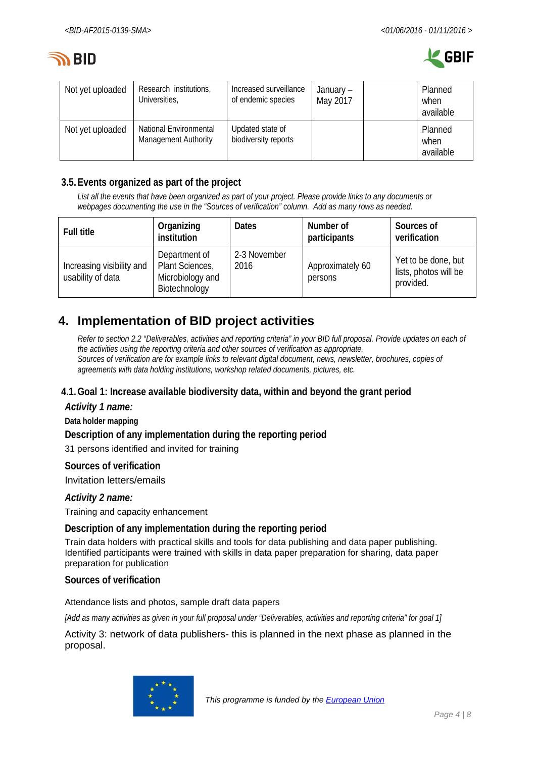



| Not yet uploaded | Research institutions,<br>Universities,               | Increased surveillance<br>of endemic species | January –<br>May 2017 | Planned<br>when<br>available |
|------------------|-------------------------------------------------------|----------------------------------------------|-----------------------|------------------------------|
| Not yet uploaded | National Environmental<br><b>Management Authority</b> | Updated state of<br>biodiversity reports     |                       | Planned<br>when<br>available |

### **3.5.Events organized as part of the project**

*List all the events that have been organized as part of your project. Please provide links to any documents or webpages documenting the use in the "Sources of verification" column. Add as many rows as needed.*

| <b>Full title</b>                              | Organizing<br>institution                                             | <b>Dates</b>         | Number of<br>participants   | Sources of<br>verification                                |
|------------------------------------------------|-----------------------------------------------------------------------|----------------------|-----------------------------|-----------------------------------------------------------|
| Increasing visibility and<br>usability of data | Department of<br>Plant Sciences,<br>Microbiology and<br>Biotechnology | 2-3 November<br>2016 | Approximately 60<br>persons | Yet to be done, but<br>lists, photos will be<br>provided. |

# **4. Implementation of BID project activities**

*Refer to section 2.2 "Deliverables, activities and reporting criteria" in your BID full proposal. Provide updates on each of the activities using the reporting criteria and other sources of verification as appropriate. Sources of verification are for example links to relevant digital document, news, newsletter, brochures, copies of agreements with data holding institutions, workshop related documents, pictures, etc.*

### **4.1.Goal 1: Increase available biodiversity data, within and beyond the grant period**

*Activity 1 name:*

**Data holder mapping**

**Description of any implementation during the reporting period**

31 persons identified and invited for training

**Sources of verification**

Invitation letters/emails

*Activity 2 name:*

Training and capacity enhancement

**Description of any implementation during the reporting period**

Train data holders with practical skills and tools for data publishing and data paper publishing. Identified participants were trained with skills in data paper preparation for sharing, data paper preparation for publication

### **Sources of verification**

Attendance lists and photos, sample draft data papers

*[Add as many activities as given in your full proposal under "Deliverables, activities and reporting criteria" for goal 1]*

Activity 3: network of data publishers- this is planned in the next phase as planned in the proposal.

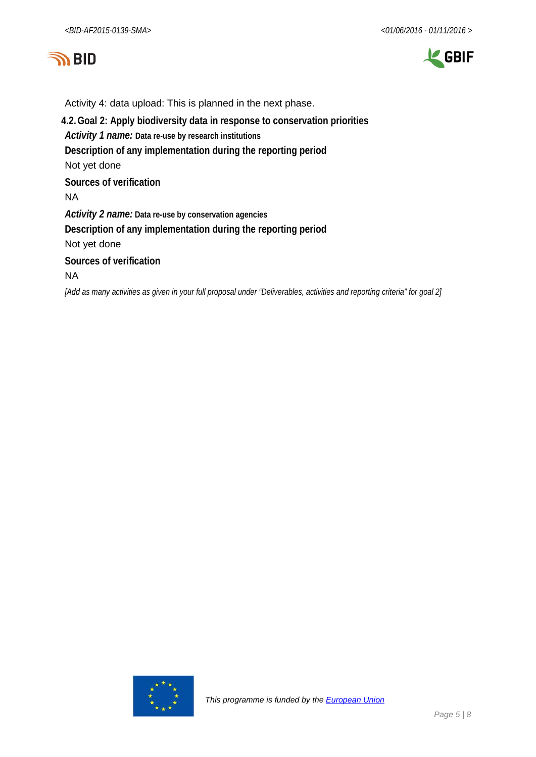



Activity 4: data upload: This is planned in the next phase. **4.2.Goal 2: Apply biodiversity data in response to conservation priorities** *Activity 1 name:* **Data re-use by research institutions Description of any implementation during the reporting period** Not yet done **Sources of verification** NA *Activity 2 name:* **Data re-use by conservation agencies Description of any implementation during the reporting period** Not yet done **Sources of verification** NA

*[Add as many activities as given in your full proposal under "Deliverables, activities and reporting criteria" for goal 2]*

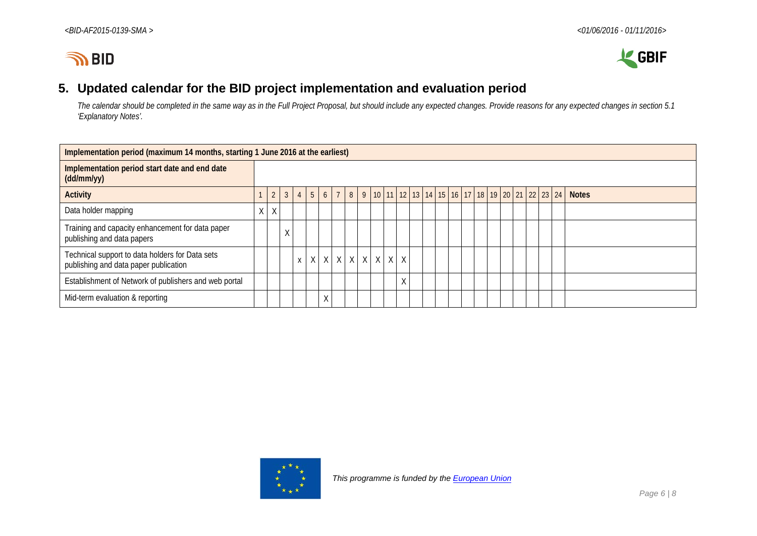



# **5. Updated calendar for the BID project implementation and evaluation period**

*The calendar should be completed in the same way as in the Full Project Proposal, but should include any expected changes. Provide reasons for any expected changes in section 5.1 'Explanatory Notes'.*

| Implementation period (maximum 14 months, starting 1 June 2016 at the earliest)          |   |                |              |  |  |   |  |  |  |                                                                                                    |   |  |  |  |  |  |  |              |
|------------------------------------------------------------------------------------------|---|----------------|--------------|--|--|---|--|--|--|----------------------------------------------------------------------------------------------------|---|--|--|--|--|--|--|--------------|
| Implementation period start date and end date<br>$(dd/\text{mm/yy})$                     |   |                |              |  |  |   |  |  |  |                                                                                                    |   |  |  |  |  |  |  |              |
| <b>Activity</b>                                                                          |   | $\overline{2}$ | $\mathbf{3}$ |  |  |   |  |  |  | $4$   5   6   7   8   9   10   11   12   13   14   15   16   17   18   19   20   21   22   23   24 |   |  |  |  |  |  |  | <b>Notes</b> |
| Data holder mapping                                                                      | X | $\chi$         |              |  |  |   |  |  |  |                                                                                                    |   |  |  |  |  |  |  |              |
| Training and capacity enhancement for data paper<br>publishing and data papers           |   |                | ↗            |  |  |   |  |  |  |                                                                                                    |   |  |  |  |  |  |  |              |
| Technical support to data holders for Data sets<br>publishing and data paper publication |   |                |              |  |  |   |  |  |  | $x$   $x$   $x$   $x$   $x$   $x$   $x$   $x$   $x$                                                |   |  |  |  |  |  |  |              |
| Establishment of Network of publishers and web portal                                    |   |                |              |  |  |   |  |  |  |                                                                                                    | Χ |  |  |  |  |  |  |              |
| Mid-term evaluation & reporting                                                          |   |                |              |  |  | Χ |  |  |  |                                                                                                    |   |  |  |  |  |  |  |              |

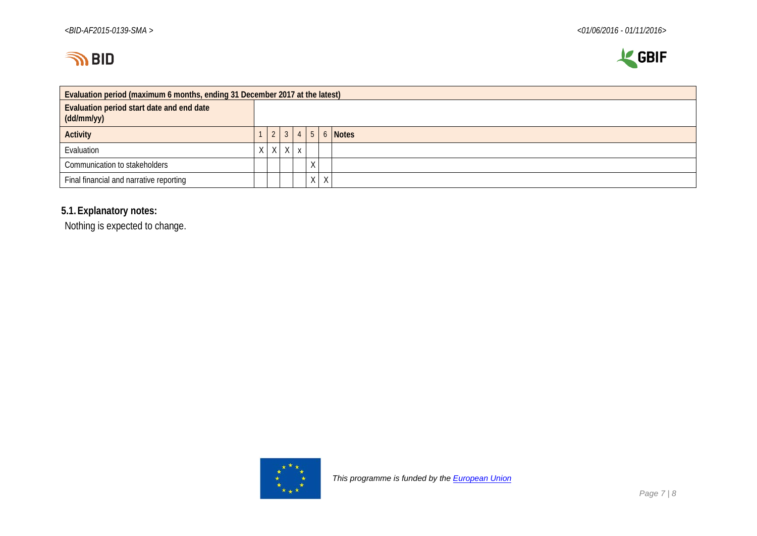



| Evaluation period (maximum 6 months, ending 31 December 2017 at the latest) |  |                 |              |              |   |   |   |                                |  |  |  |  |
|-----------------------------------------------------------------------------|--|-----------------|--------------|--------------|---|---|---|--------------------------------|--|--|--|--|
| Evaluation period start date and end date<br>(dd/mm/yy)                     |  |                 |              |              |   |   |   |                                |  |  |  |  |
| <b>Activity</b>                                                             |  | $\vert 2 \vert$ |              |              |   |   |   | $3 \mid 4 \mid 5 \mid 6$ Notes |  |  |  |  |
| Evaluation                                                                  |  | $\times$        | $\mathsf{X}$ | $\mathbf{v}$ |   |   |   |                                |  |  |  |  |
| Communication to stakeholders                                               |  |                 |              |              | X |   |   |                                |  |  |  |  |
| Final financial and narrative reporting                                     |  |                 |              |              |   | X | X |                                |  |  |  |  |

### **5.1.Explanatory notes:**

Nothing is expected to change.